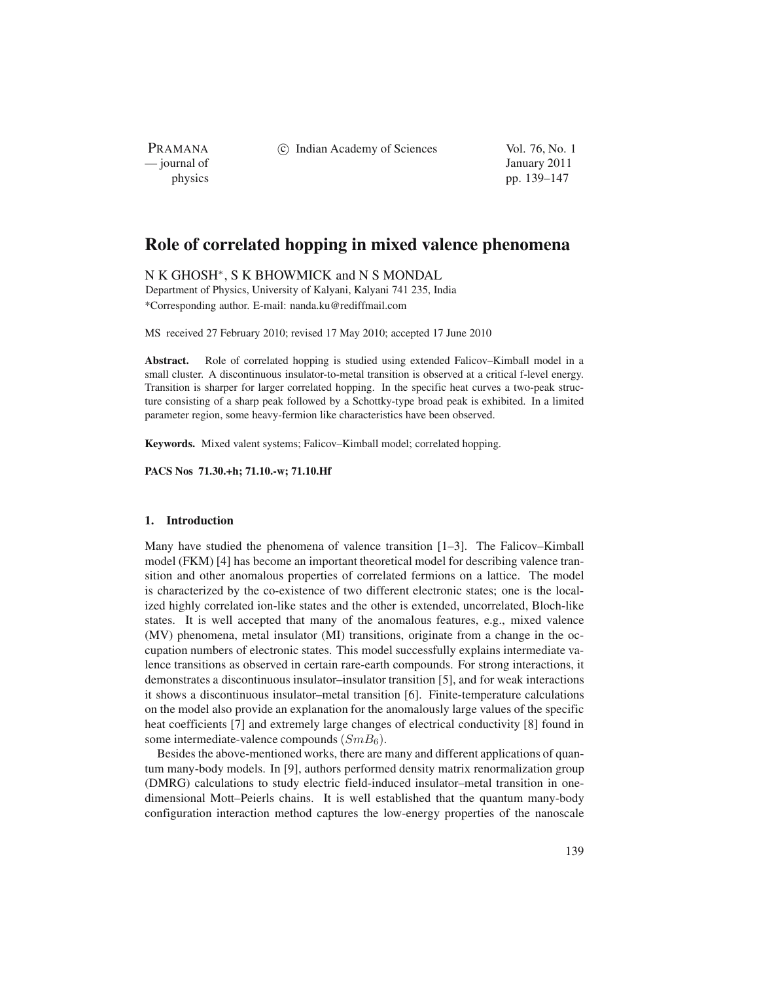PRAMANA<br>
— journal of

(c) Indian Academy of Sciences Vol. 76, No. 1

January 2011 physics pp. 139–147

# **Role of correlated hopping in mixed valence phenomena**

N K GHOSH∗, S K BHOWMICK and N S MONDAL Department of Physics, University of Kalyani, Kalyani 741 235, India \*Corresponding author. E-mail: nanda.ku@rediffmail.com

MS received 27 February 2010; revised 17 May 2010; accepted 17 June 2010

**Abstract.** Role of correlated hopping is studied using extended Falicov–Kimball model in a small cluster. A discontinuous insulator-to-metal transition is observed at a critical f-level energy. Transition is sharper for larger correlated hopping. In the specific heat curves a two-peak structure consisting of a sharp peak followed by a Schottky-type broad peak is exhibited. In a limited parameter region, some heavy-fermion like characteristics have been observed.

**Keywords.** Mixed valent systems; Falicov–Kimball model; correlated hopping.

**PACS Nos 71.30.+h; 71.10.-w; 71.10.Hf**

## **1. Introduction**

Many have studied the phenomena of valence transition [1–3]. The Falicov–Kimball model (FKM) [4] has become an important theoretical model for describing valence transition and other anomalous properties of correlated fermions on a lattice. The model is characterized by the co-existence of two different electronic states; one is the localized highly correlated ion-like states and the other is extended, uncorrelated, Bloch-like states. It is well accepted that many of the anomalous features, e.g., mixed valence (MV) phenomena, metal insulator (MI) transitions, originate from a change in the occupation numbers of electronic states. This model successfully explains intermediate valence transitions as observed in certain rare-earth compounds. For strong interactions, it demonstrates a discontinuous insulator–insulator transition [5], and for weak interactions it shows a discontinuous insulator–metal transition [6]. Finite-temperature calculations on the model also provide an explanation for the anomalously large values of the specific heat coefficients [7] and extremely large changes of electrical conductivity [8] found in some intermediate-valence compounds  $(SmB<sub>6</sub>)$ .

Besides the above-mentioned works, there are many and different applications of quantum many-body models. In [9], authors performed density matrix renormalization group (DMRG) calculations to study electric field-induced insulator–metal transition in onedimensional Mott–Peierls chains. It is well established that the quantum many-body configuration interaction method captures the low-energy properties of the nanoscale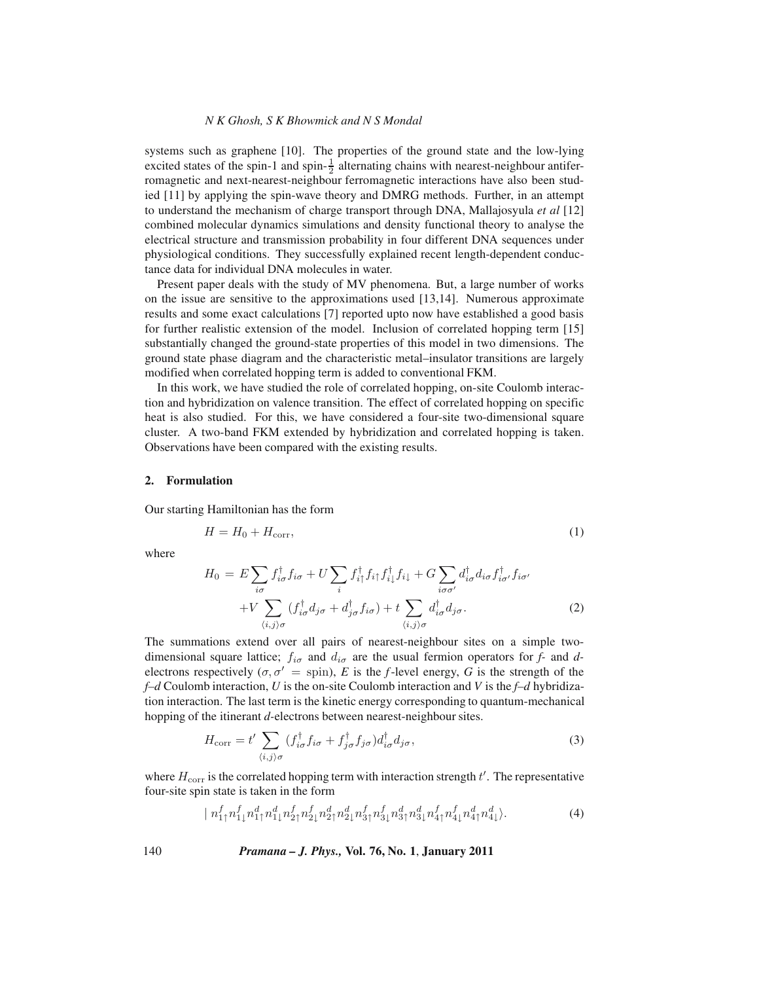### *N K Ghosh, S K Bhowmick and N S Mondal*

systems such as graphene [10]. The properties of the ground state and the low-lying excited states of the spin-1 and spin- $\frac{1}{2}$  alternating chains with nearest-neighbour antiferromagnetic and next-nearest-neighbour ferromagnetic interactions have also been studied [11] by applying the spin-wave theory and DMRG methods. Further, in an attempt to understand the mechanism of charge transport through DNA, Mallajosyula *et al* [12] combined molecular dynamics simulations and density functional theory to analyse the electrical structure and transmission probability in four different DNA sequences under physiological conditions. They successfully explained recent length-dependent conductance data for individual DNA molecules in water.

Present paper deals with the study of MV phenomena. But, a large number of works on the issue are sensitive to the approximations used [13,14]. Numerous approximate results and some exact calculations [7] reported upto now have established a good basis for further realistic extension of the model. Inclusion of correlated hopping term [15] substantially changed the ground-state properties of this model in two dimensions. The ground state phase diagram and the characteristic metal–insulator transitions are largely modified when correlated hopping term is added to conventional FKM.

In this work, we have studied the role of correlated hopping, on-site Coulomb interaction and hybridization on valence transition. The effect of correlated hopping on specific heat is also studied. For this, we have considered a four-site two-dimensional square cluster. A two-band FKM extended by hybridization and correlated hopping is taken. Observations have been compared with the existing results.

#### **2. Formulation**

Our starting Hamiltonian has the form

$$
H = H_0 + H_{\text{corr}},\tag{1}
$$

where

$$
H_0 = E \sum_{i\sigma} f_{i\sigma}^\dagger f_{i\sigma} + U \sum_i f_{i\uparrow}^\dagger f_{i\uparrow} f_{i\downarrow}^\dagger f_{i\downarrow} + G \sum_{i\sigma\sigma'} d_{i\sigma}^\dagger d_{i\sigma} f_{i\sigma'}^\dagger f_{i\sigma'} + V \sum_{\langle i,j \rangle \sigma} (f_{i\sigma}^\dagger d_{j\sigma} + d_{j\sigma}^\dagger f_{i\sigma}) + t \sum_{\langle i,j \rangle \sigma} d_{i\sigma}^\dagger d_{j\sigma}.
$$
 (2)

The summations extend over all pairs of nearest-neighbour sites on a simple twodimensional square lattice;  $f_{i\sigma}$  and  $d_{i\sigma}$  are the usual fermion operators for *f*- and *d*electrons respectively  $(\sigma, \sigma' = \text{spin})$ , *E* is the *f*-level energy, *G* is the strength of the *f–d* Coulomb interaction, *U* is the on-site Coulomb interaction and *V* is the *f–d* hybridization interaction. The last term is the kinetic energy corresponding to quantum-mechanical hopping of the itinerant *d-*electrons between nearest-neighbour sites.

$$
H_{\text{corr}} = t' \sum_{\langle i,j \rangle \sigma} (f_{i\sigma}^{\dagger} f_{i\sigma} + f_{j\sigma}^{\dagger} f_{j\sigma}) d_{i\sigma}^{\dagger} d_{j\sigma}, \tag{3}
$$

where  $H_{\text{corr}}$  is the correlated hopping term with interaction strength  $t'$ . The representative four-site spin state is taken in the form

$$
| n_{1\uparrow}^f n_{1\downarrow}^f n_{1\uparrow}^d n_{1\downarrow}^d n_{2\uparrow}^f n_{2\downarrow}^f n_{2\downarrow}^d n_{2\downarrow}^d n_{3\uparrow}^f n_{3\downarrow}^f n_{3\uparrow}^d n_{3\downarrow}^d n_{4\uparrow}^d n_{4\downarrow}^f n_{4\downarrow}^d n_{4\downarrow}^d \rangle. \tag{4}
$$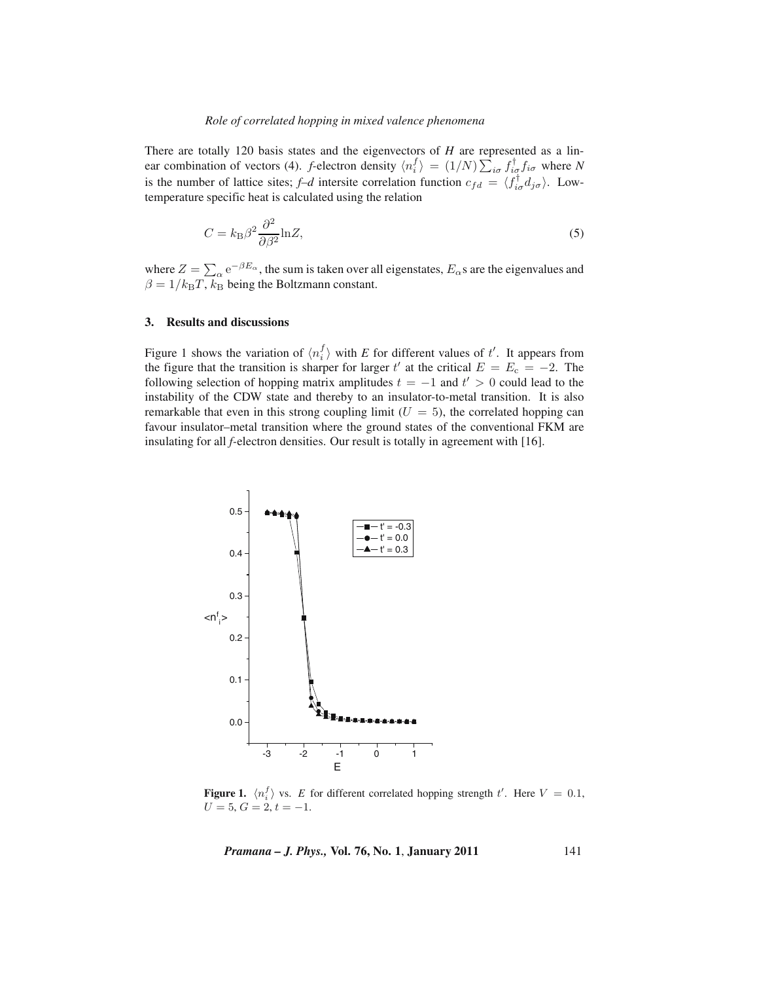There are totally 120 basis states and the eigenvectors of *H* are represented as a linear combination of vectors (4). *f*-electron density  $\langle n_i^f \rangle = (1/N) \sum_{i\sigma} f_{i\sigma}^\dagger f_{i\sigma}$  where *N* is the number of lattice sites;  $f-d$  intersite correlation function  $c_{fd} = \langle f_{i\sigma}^{\dagger} d_{j\sigma} \rangle$ . Lowtemperature specific heat is calculated using the relation

$$
C = k_{\rm B} \beta^2 \frac{\partial^2}{\partial \beta^2} \ln Z,\tag{5}
$$

where  $Z = \sum_{\alpha} e^{-\beta E_{\alpha}}$ , the sum is taken over all eigenstates,  $E_{\alpha}$ s are the eigenvalues and  $\beta = 1/k_BT$ ,  $k_B$  being the Boltzmann constant.

## **3. Results and discussions**

Figure 1 shows the variation of  $\langle n_i^f \rangle$  with *E* for different values of t'. It appears from the figure that the transition is sharper for larger t' at the critical  $E = E_c = -2$ . The following selection of hopping matrix amplitudes  $t = -1$  and  $t' > 0$  could lead to the instability of the CDW state and thereby to an insulator-to-metal transition. It is also remarkable that even in this strong coupling limit  $(U = 5)$ , the correlated hopping can favour insulator–metal transition where the ground states of the conventional FKM are insulating for all *f-*electron densities. Our result is totally in agreement with [16].



**Figure 1.**  $\langle n_i^f \rangle$  vs. *E* for different correlated hopping strength t'. Here  $V = 0.1$ ,  $U = 5, G = 2, t = -1.$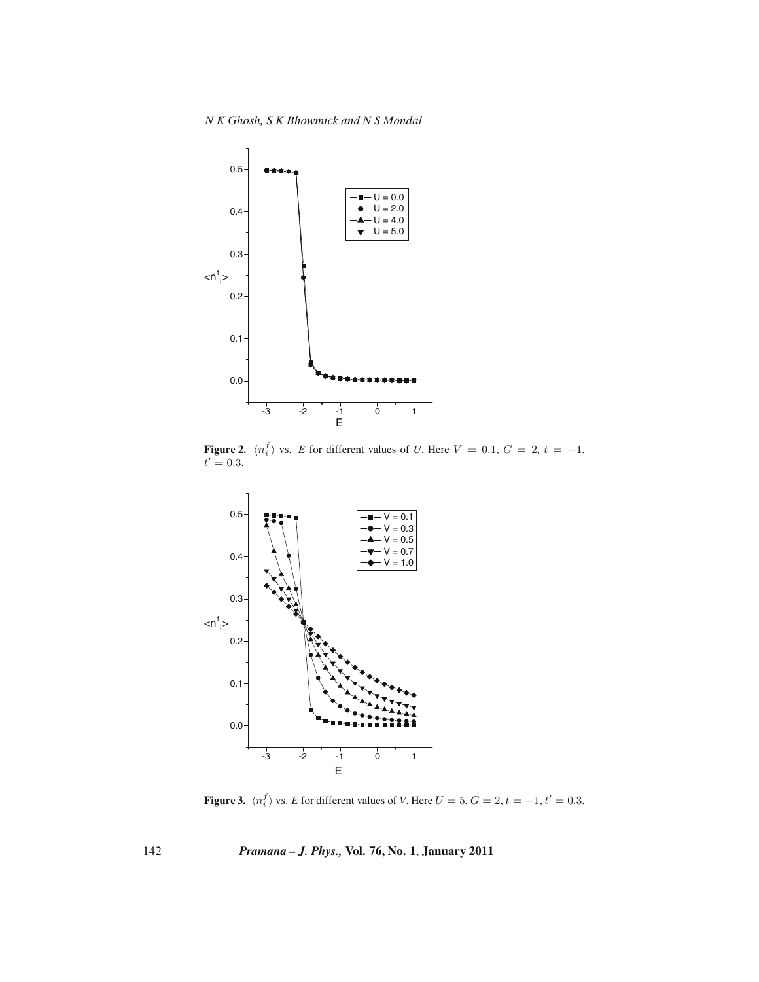

**Figure 2.**  $\langle n_i^f \rangle$  vs. *E* for different values of *U*. Here  $V = 0.1$ ,  $G = 2$ ,  $t = -1$ ,  $t' = 0.3$ .



**Figure 3.**  $\langle n_i^f \rangle$  vs. *E* for different values of *V*. Here  $U = 5$ ,  $G = 2$ ,  $t = -1$ ,  $t' = 0.3$ .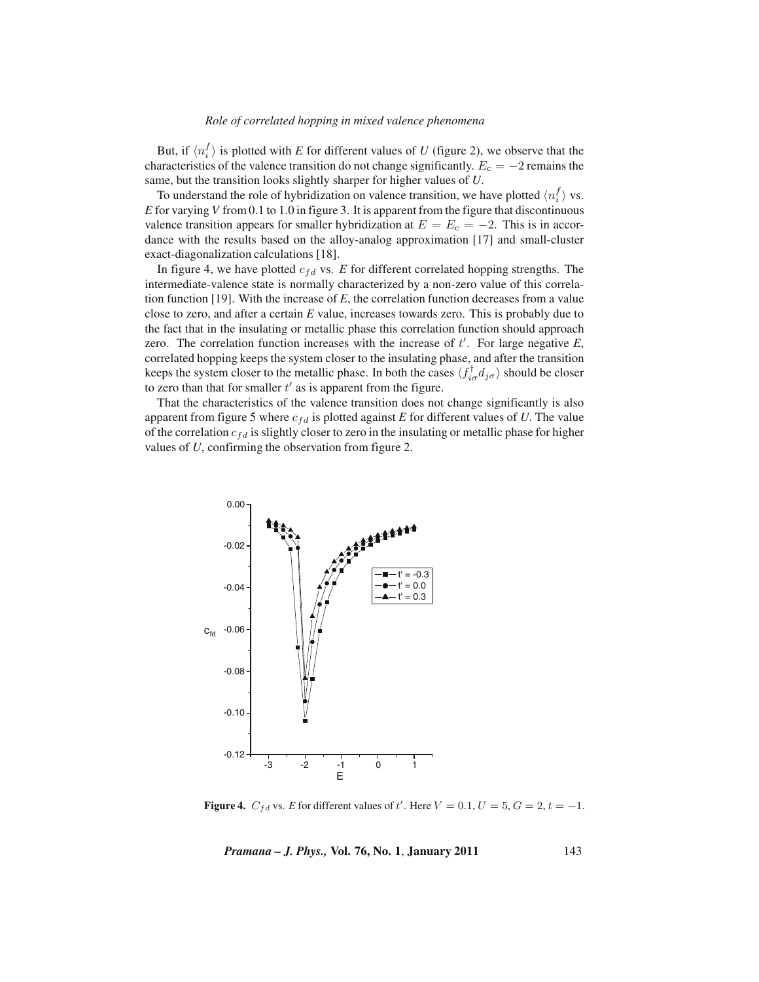### *Role of correlated hopping in mixed valence phenomena*

But, if  $\langle n_i^f \rangle$  is plotted with *E* for different values of *U* (figure 2), we observe that the characteristics of the valence transition do not change significantly.  $E_c = -2$  remains the same, but the transition looks slightly sharper for higher values of *U*.

To understand the role of hybridization on valence transition, we have plotted  $\langle n_i^f \rangle$  vs. *E* for varying *V* from 0.1 to 1.0 in figure 3. It is apparent from the figure that discontinuous valence transition appears for smaller hybridization at  $E = E_c = -2$ . This is in accordance with the results based on the alloy-analog approximation [17] and small-cluster exact-diagonalization calculations [18].

In figure 4, we have plotted  $c_{fd}$  vs.  $E$  for different correlated hopping strengths. The intermediate-valence state is normally characterized by a non-zero value of this correlation function [19]. With the increase of *E*, the correlation function decreases from a value close to zero, and after a certain *E* value, increases towards zero. This is probably due to the fact that in the insulating or metallic phase this correlation function should approach zero. The correlation function increases with the increase of  $t'$ . For large negative  $E$ , correlated hopping keeps the system closer to the insulating phase, and after the transition keeps the system closer to the metallic phase. In both the cases  $\langle f_{i\sigma}^{\dagger} d_{j\sigma} \rangle$  should be closer to zero than that for smaller  $t'$  as is apparent from the figure.

That the characteristics of the valence transition does not change significantly is also apparent from figure 5 where  $c_{fd}$  is plotted against *E* for different values of *U*. The value of the correlation  $c_{fd}$  is slightly closer to zero in the insulating or metallic phase for higher values of *U*, confirming the observation from figure 2.



**Figure 4.**  $C_{fd}$  vs. *E* for different values of t'. Here  $V = 0.1, U = 5, G = 2, t = -1$ .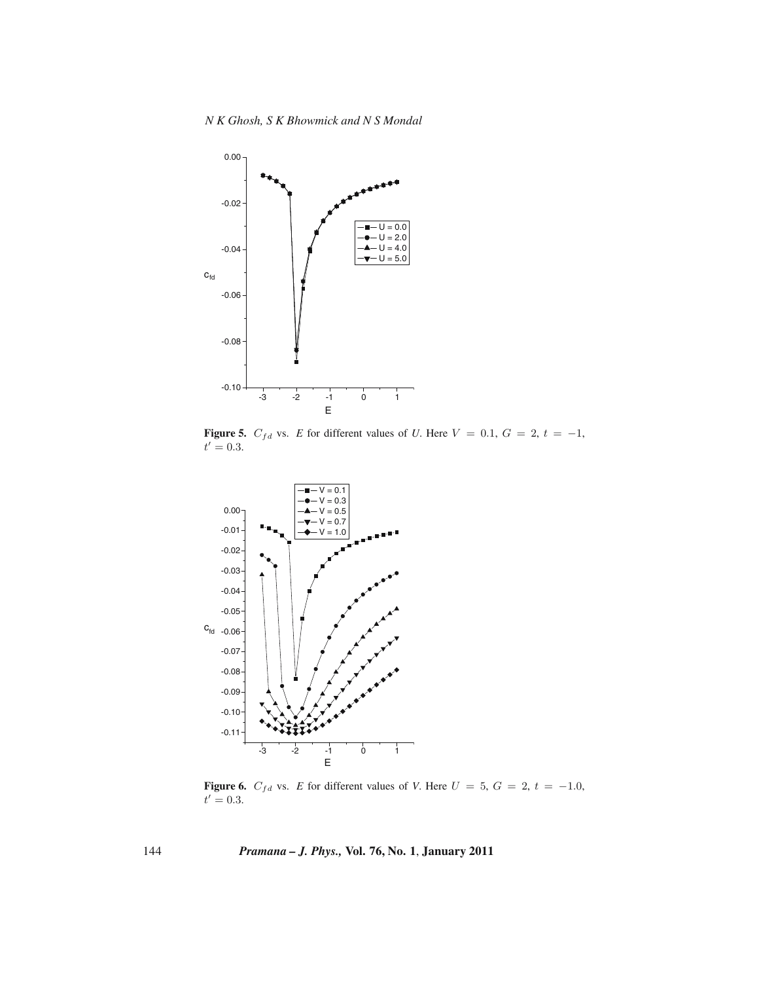

**Figure 5.**  $C_{fd}$  vs. *E* for different values of *U*. Here  $V = 0.1$ ,  $G = 2$ ,  $t = -1$ ,  $t' = 0.3$ .



**Figure 6.**  $C_{fd}$  vs. *E* for different values of *V*. Here  $U = 5$ ,  $G = 2$ ,  $t = -1.0$ ,  $t' = 0.3$ .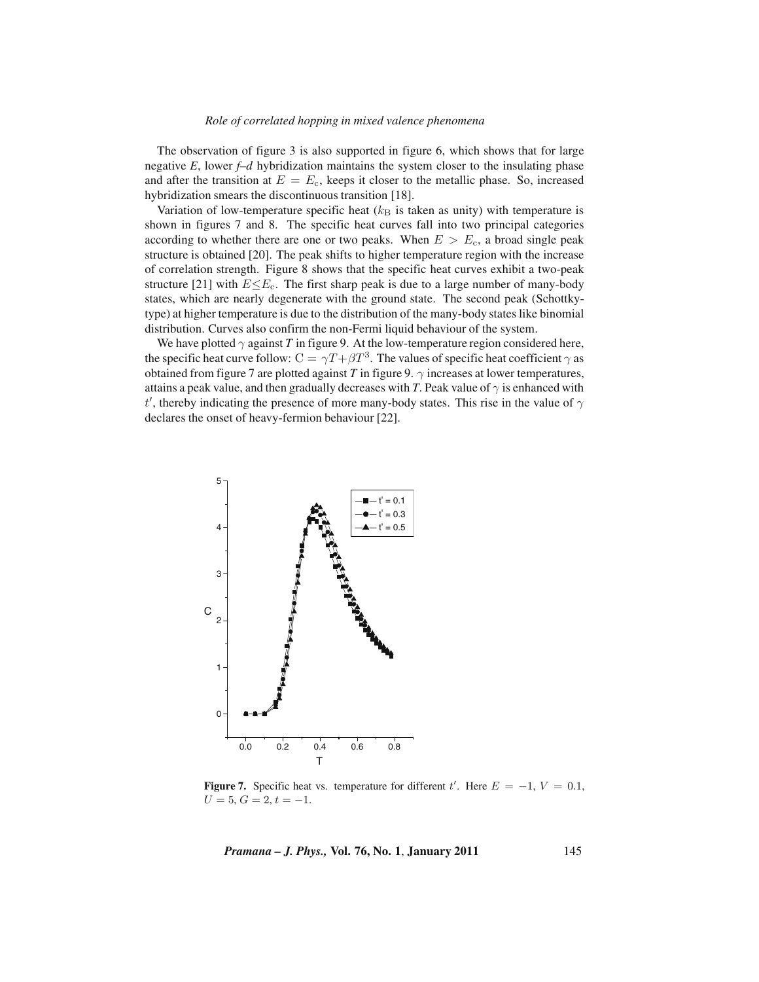### *Role of correlated hopping in mixed valence phenomena*

The observation of figure 3 is also supported in figure 6, which shows that for large negative  $E$ , lower  $f-d$  hybridization maintains the system closer to the insulating phase and after the transition at  $E = E<sub>c</sub>$ , keeps it closer to the metallic phase. So, increased hybridization smears the discontinuous transition [18].

Variation of low-temperature specific heat  $(k<sub>B</sub>$  is taken as unity) with temperature is shown in figures 7 and 8. The specific heat curves fall into two principal categories according to whether there are one or two peaks. When  $E>E_c$ , a broad single peak structure is obtained [20]. The peak shifts to higher temperature region with the increase of correlation strength. Figure 8 shows that the specific heat curves exhibit a two-peak structure [21] with  $E \leq E_c$ . The first sharp peak is due to a large number of many-body states, which are nearly degenerate with the ground state. The second peak (Schottkytype) at higher temperature is due to the distribution of the many-body states like binomial distribution. Curves also confirm the non-Fermi liquid behaviour of the system.

We have plotted  $\gamma$  against *T* in figure 9. At the low-temperature region considered here, the specific heat curve follow:  $C = \gamma T + \beta T^3$ . The values of specific heat coefficient  $\gamma$  as obtained from figure 7 are plotted against *T* in figure 9.  $\gamma$  increases at lower temperatures, attains a peak value, and then gradually decreases with *T*. Peak value of  $\gamma$  is enhanced with t', thereby indicating the presence of more many-body states. This rise in the value of  $\gamma$ declares the onset of heavy-fermion behaviour [22].



**Figure 7.** Specific heat vs. temperature for different t'. Here  $E = -1$ ,  $V = 0.1$ ,  $U = 5, G = 2, t = -1.$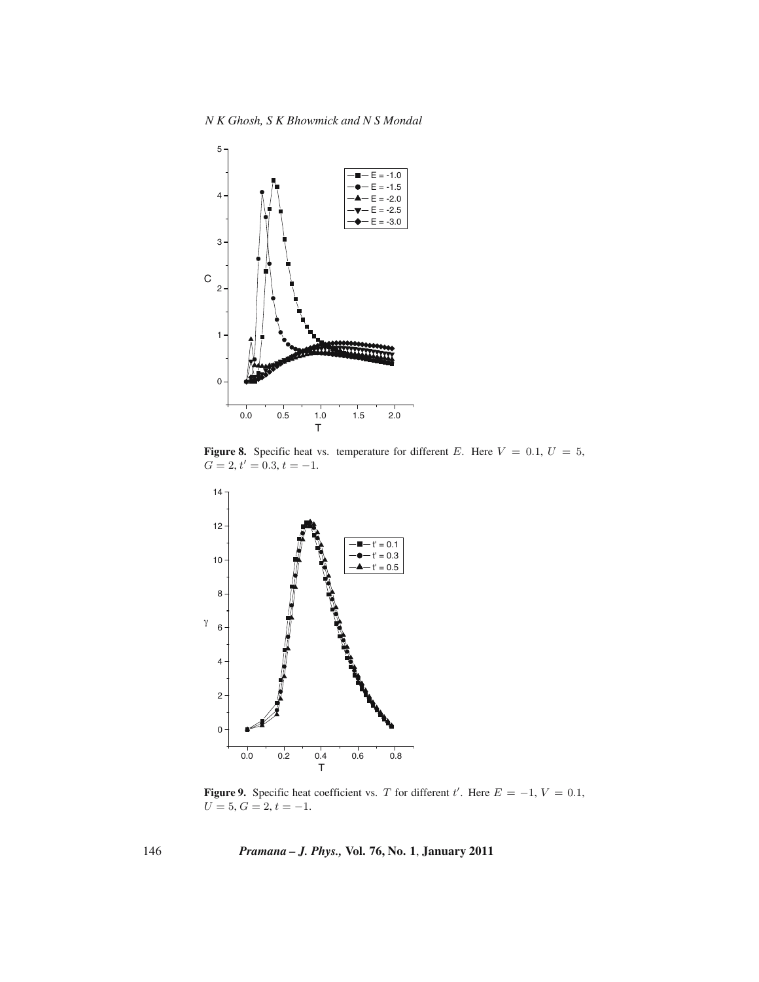

**Figure 8.** Specific heat vs. temperature for different E. Here  $V = 0.1$ ,  $U = 5$ ,  $G = 2, t' = 0.3, t = -1.$ 



**Figure 9.** Specific heat coefficient vs. T for different t'. Here  $E = -1$ ,  $V = 0.1$ ,  $U = 5, G = 2, t = -1.$